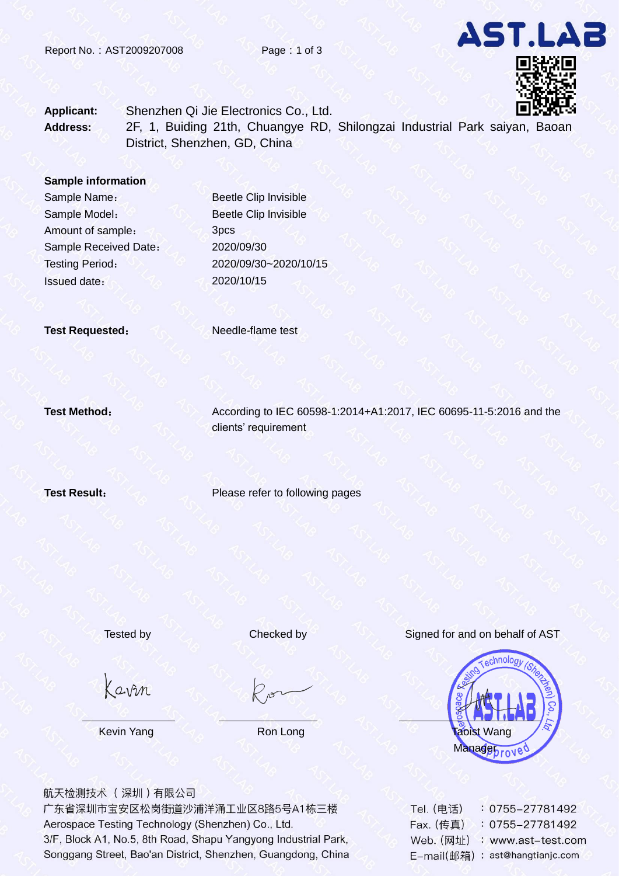

**Applicant:** Shenzhen Qi Jie Electronics Co., Ltd. **Address:** 2F, 1, Buiding 21th, Chuangye RD, Shilongzai Industrial Park saiyan, Baoan District, Shenzhen, GD, China

**Sample information**

Sample Model: Amount of sample: Sample Received Date: 2020/09/30 Issued date: 2020/10/15

Sample Name: Beetle Clip Invisible Beetle Clip lnvisible 3pcs Testing Period: 2020/09/30~2020/10/15

**Test Requested:** Needle-flame test

**Test Method:** According to IEC 60598-1:2014+A1:2017, IEC 60695-11-5:2016 and the clients' requirement

**Test Result:** Please refer to following pages

Kavin

Tested by Checked by Signed for and on behalf of AST



航天检测技术 (深圳)有限公司

广东省深圳市宝安区松岗街道沙浦洋涌工业区8路5号A1栋三楼 Aerospace Testing Technology (Shenzhen) Co., Ltd. 3/F, Block A1, No.5, 8th Road, Shapu Yangyong Industrial Park, Songgang Street, Bao'an District, Shenzhen, Guangdong, China

| Tel. (电话)  | $: 0755 - 27781492$  |
|------------|----------------------|
| Fax. (传真)  | $: 0755 - 27781492$  |
| Web. (网址)  | : www.ast-test.com   |
| E-mail(邮箱) | : ast@hangtianjc.com |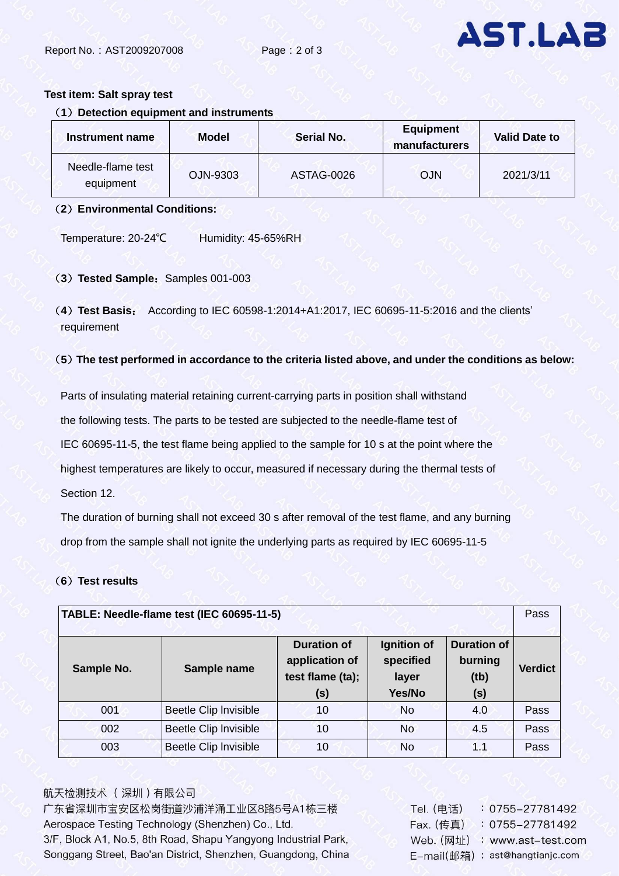

### **Test item: Salt spray test**

## (**1**)**Detection equipment and instruments**

| Instrument name                | <b>Model</b> | <b>Serial No.</b> | <b>Equipment</b><br>manufacturers | <b>Valid Date to</b> |  |
|--------------------------------|--------------|-------------------|-----------------------------------|----------------------|--|
| Needle-flame test<br>equipment | OJN-9303     | <b>ASTAG-0026</b> | <b>OJN</b>                        | 2021/3/11            |  |

### (**2**)**Environmental Conditions:**

Temperature: 20-24℃ Humidity: 45-65%RH

(3) Tested Sample: Samples 001-003

(**4**)**Test Basis**: According to IEC 60598-1:2014+A1:2017, IEC 60695-11-5:2016 and the clients' requirement

## (**5**)**The test performed in accordance to the criteria listed above, and under the conditions as below:**

Parts of insulating material retaining current-carrying parts in position shall withstand the following tests. The parts to be tested are subjected to the needle-flame test of IEC 60695-11-5, the test flame being applied to the sample for 10 s at the point where the highest temperatures are likely to occur, measured if necessary during the thermal tests of Section 12.

The duration of burning shall not exceed 30 s after removal of the test flame, and any burning drop from the sample shall not ignite the underlying parts as required by IEC 60695-11-5

# (**6**)**Test results**

|            | TABLE: Needle-flame test (IEC 60695-11-5) |                                                                 |                                             |                                              | Pass           |
|------------|-------------------------------------------|-----------------------------------------------------------------|---------------------------------------------|----------------------------------------------|----------------|
| Sample No. | Sample name                               | <b>Duration of</b><br>application of<br>test flame (ta);<br>(s) | Ignition of<br>specified<br>layer<br>Yes/No | <b>Duration of</b><br>burning<br>(tb)<br>(s) | <b>Verdict</b> |
| 001        | Beetle Clip Invisible                     | 10                                                              | <b>No</b>                                   | 4.0                                          | Pass           |
| 002        | Beetle Clip Invisible                     | 10                                                              | <b>No</b>                                   | 4.5                                          | Pass           |
| 003        | Beetle Clip Invisible                     | 10                                                              | <b>No</b>                                   | 1.1                                          | Pass           |

# 航天检测技术 (深圳)有限公司

广东省深圳市宝安区松岗街道沙浦洋涌工业区8路5号A1栋三楼 Aerospace Testing Technology (Shenzhen) Co., Ltd. 3/F, Block A1, No.5, 8th Road, Shapu Yangyong Industrial Park, Songgang Street, Bao'an District, Shenzhen, Guangdong, China

| $: 0755 - 27781492$  |
|----------------------|
| 0755-27781492        |
| : www.ast-test.com   |
| : ast@hangtianjc.com |
|                      |